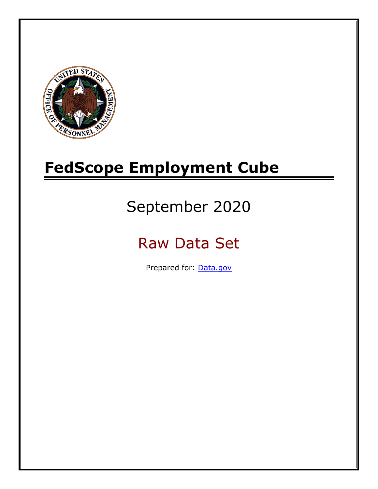

# **FedScope Employment Cube**

# September 2020

# Raw Data Set

Prepared for: [Data.gov](http://www.data.gov/)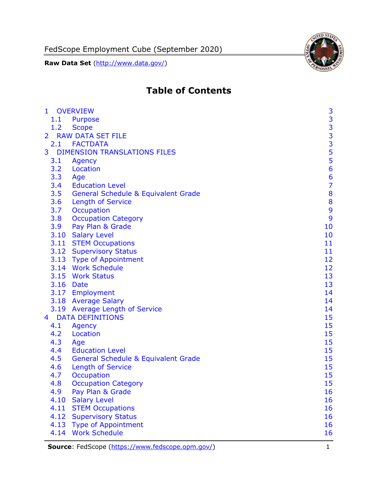FedScope Employment Cube (September 2020)

**Raw Data Set** (http://www.data.gov/)



# **Table of Contents**

| 1              |           | <b>OVERVIEW</b>                                | 3                                          |
|----------------|-----------|------------------------------------------------|--------------------------------------------|
|                | 1.1       | Purpose                                        |                                            |
|                | 1.2       | <b>Scope</b>                                   |                                            |
| $\overline{2}$ |           | <b>RAW DATA SET FILE</b>                       | $\begin{array}{c} 3 \\ 3 \\ 3 \end{array}$ |
|                | 2.1       | <b>FACTDATA</b>                                |                                            |
| 3              |           | <b>DIMENSION TRANSLATIONS FILES</b>            | 5                                          |
|                | 3.1       | Agency                                         |                                            |
|                | 3.2       | Location                                       | $\frac{5}{6}$                              |
|                | 3.3       | Age                                            | 6                                          |
|                | 3.4       | <b>Education Level</b>                         | $\overline{7}$                             |
|                | 3.5       | <b>General Schedule &amp; Equivalent Grade</b> | 8                                          |
|                | 3.6       | <b>Length of Service</b>                       | 8                                          |
|                | 3.7       | Occupation                                     | 9                                          |
|                | 3.8       | <b>Occupation Category</b>                     | 9                                          |
|                | 3.9       | Pay Plan & Grade                               | 10                                         |
|                |           | 3.10 Salary Level                              | 10                                         |
|                |           | 3.11 STEM Occupations                          | 11                                         |
|                |           | 3.12 Supervisory Status                        | 11                                         |
|                |           | 3.13 Type of Appointment                       | 12                                         |
|                |           | 3.14 Work Schedule                             | 12                                         |
|                |           | 3.15 Work Status                               | 13                                         |
|                | 3.16 Date |                                                | 13                                         |
|                |           | 3.17 Employment                                | 14                                         |
|                |           | 3.18 Average Salary                            | 14                                         |
|                |           | 3.19 Average Length of Service                 | 14                                         |
| $\overline{4}$ |           | <b>DATA DEFINITIONS</b>                        | 15                                         |
|                | 4.1       | <b>Agency</b>                                  | 15                                         |
|                | 4.2       | Location                                       | 15                                         |
|                | 4.3       | Age                                            | 15                                         |
|                | 4.4       | <b>Education Level</b>                         | 15                                         |
|                | 4.5       | <b>General Schedule &amp; Equivalent Grade</b> | 15                                         |
|                | 4.6       | <b>Length of Service</b>                       | 15                                         |
|                | 4.7       | <b>Occupation</b>                              | 15                                         |
|                | 4.8       | <b>Occupation Category</b>                     | 15                                         |
|                | 4.9       | Pay Plan & Grade                               | 16                                         |
|                | 4.10      | <b>Salary Level</b>                            | 16                                         |
|                | 4.11      | <b>STEM Occupations</b>                        | 16                                         |
|                | 4.12      | <b>Supervisory Status</b>                      | 16                                         |
|                | 4.13      | <b>Type of Appointment</b>                     | 16                                         |
|                | 4.14      | <b>Work Schedule</b>                           | 16                                         |

**Source**: FedScope [\(https://www.fedscope.opm.gov/\)](https://www.fedscope.opm.gov/) 1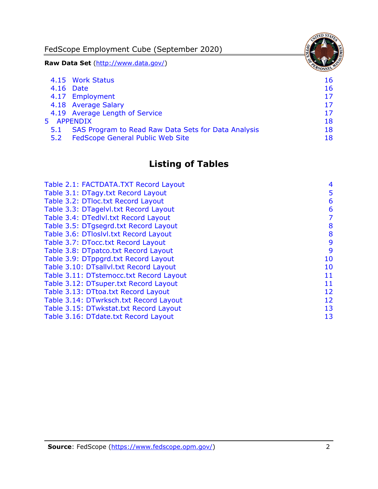FedScope Employment Cube (September 2020)

**Raw Data Set** (http://www.data.gov/)

|     | 4.15 Work Status                                    | 16 |
|-----|-----------------------------------------------------|----|
|     | 4.16 Date                                           | 16 |
|     | 4.17 Employment                                     | 17 |
|     | 4.18 Average Salary                                 | 17 |
|     | 4.19 Average Length of Service                      | 17 |
|     | 5 APPENDIX                                          | 18 |
| 5.1 | SAS Program to Read Raw Data Sets for Data Analysis | 18 |
| 5.2 | <b>FedScope General Public Web Site</b>             | 18 |

# **Listing of Tables**

| Table 2.1: FACTDATA.TXT Record Layout   | 4  |
|-----------------------------------------|----|
| Table 3.1: DTagy.txt Record Layout      | 5  |
| Table 3.2: DTloc.txt Record Layout      | 6  |
| Table 3.3: DTagelvl.txt Record Layout   | 6  |
| Table 3.4: DTedlvl.txt Record Layout    | 7  |
| Table 3.5: DTgsegrd.txt Record Layout   | 8  |
| Table 3.6: DTloslvl.txt Record Layout   | 8  |
| Table 3.7: DTocc.txt Record Layout      | 9  |
| Table 3.8: DTpatco.txt Record Layout    | 9  |
| Table 3.9: DTppgrd.txt Record Layout    | 10 |
| Table 3.10: DTsallvl.txt Record Layout  | 10 |
| Table 3.11: DTstemocc.txt Record Layout | 11 |
| Table 3.12: DTsuper.txt Record Layout   | 11 |
| Table 3.13: DTtoa.txt Record Layout     | 12 |
| Table 3.14: DTwrksch.txt Record Layout  | 12 |
| Table 3.15: DTwkstat.txt Record Layout  | 13 |
| Table 3.16: DTdate.txt Record Layout    | 13 |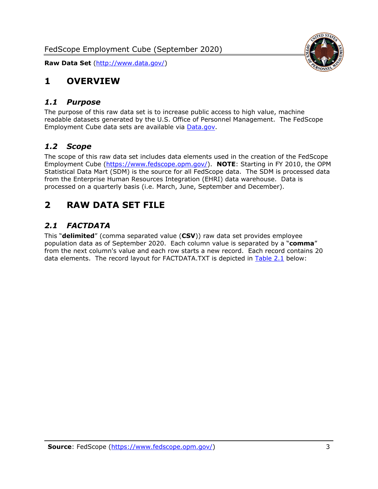

# <span id="page-3-0"></span>**1 OVERVIEW**

#### <span id="page-3-1"></span>*1.1 Purpose*

The purpose of this raw data set is to increase public access to high value, machine readable datasets generated by the U.S. Office of Personnel Management. The FedScope Employment Cube data sets are available via [Data.gov.](http://www.data.gov/)

#### <span id="page-3-2"></span>*1.2 Scope*

The scope of this raw data set includes data elements used in the creation of the FedScope Employment Cube [\(https://www.fedscope.opm.gov/\)](https://www.fedscope.opm.gov/). **NOTE**: Starting in FY 2010, the OPM Statistical Data Mart (SDM) is the source for all FedScope data. The SDM is processed data from the Enterprise Human Resources Integration (EHRI) data warehouse. Data is processed on a quarterly basis (i.e. March, June, September and December).

# <span id="page-3-3"></span>**2 RAW DATA SET FILE**

## <span id="page-3-4"></span>*2.1 FACTDATA*

This "**delimited**" (comma separated value (**CSV**)) raw data set provides employee population data as of September 2020. Each column value is separated by a "**comma**" from the next column's value and each row starts a new record. Each record contains 20 data elements. The record layout for FACTDATA.TXT is depicted in [Table 2.1](#page-4-0) below: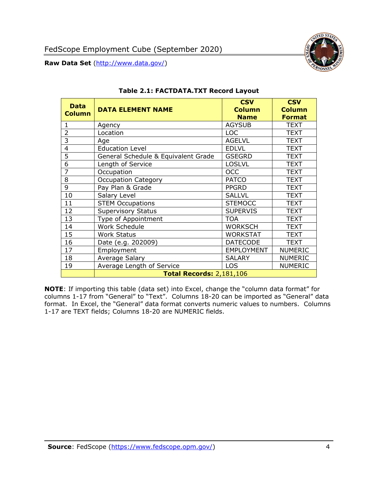

<span id="page-4-0"></span>

| <b>Data</b><br><b>Column</b> | <b>DATA ELEMENT NAME</b>            | <b>CSV</b><br><b>Column</b><br><b>Name</b> | <b>CSV</b><br><b>Column</b><br><b>Format</b> |
|------------------------------|-------------------------------------|--------------------------------------------|----------------------------------------------|
| 1                            | Agency                              | <b>AGYSUB</b>                              | <b>TEXT</b>                                  |
| $\overline{2}$               | Location                            | <b>LOC</b>                                 | <b>TEXT</b>                                  |
| 3                            | Age                                 | <b>AGELVL</b>                              | <b>TEXT</b>                                  |
| $\overline{4}$               | <b>Education Level</b>              | <b>EDLVL</b>                               | <b>TEXT</b>                                  |
| 5                            | General Schedule & Equivalent Grade | <b>GSEGRD</b>                              | <b>TEXT</b>                                  |
| 6                            | Length of Service                   | <b>LOSLVL</b>                              | <b>TEXT</b>                                  |
| $\overline{7}$               | Occupation                          | <b>OCC</b>                                 | <b>TEXT</b>                                  |
| 8                            | <b>Occupation Category</b>          | <b>PATCO</b>                               | <b>TEXT</b>                                  |
| 9                            | Pay Plan & Grade                    | <b>PPGRD</b>                               | <b>TEXT</b>                                  |
| 10                           | Salary Level                        | <b>SALLVL</b>                              | <b>TEXT</b>                                  |
| 11                           | <b>STEM Occupations</b>             | <b>STEMOCC</b>                             | <b>TEXT</b>                                  |
| 12                           | <b>Supervisory Status</b>           | <b>SUPERVIS</b>                            | <b>TEXT</b>                                  |
| 13                           | Type of Appointment                 | <b>TOA</b>                                 | TEXT                                         |
| 14                           | Work Schedule                       | <b>WORKSCH</b>                             | <b>TEXT</b>                                  |
| 15                           | <b>Work Status</b>                  | <b>WORKSTAT</b>                            | <b>TEXT</b>                                  |
| 16                           | Date (e.g. 202009)                  | <b>DATECODE</b>                            | <b>TEXT</b>                                  |
| 17                           | Employment                          | <b>EMPLOYMENT</b>                          | <b>NUMERIC</b>                               |
| 18                           | Average Salary                      | <b>SALARY</b>                              | <b>NUMERIC</b>                               |
| 19                           | Average Length of Service           | <b>LOS</b>                                 | <b>NUMERIC</b>                               |
|                              | <b>Total Records: 2,181,106</b>     |                                            |                                              |

#### **Table 2.1: FACTDATA.TXT Record Layout**

**NOTE**: If importing this table (data set) into Excel, change the "column data format" for columns 1-17 from "General" to "Text". Columns 18-20 can be imported as "General" data format. In Excel, the "General" data format converts numeric values to numbers. Columns 1-17 are TEXT fields; Columns 18-20 are NUMERIC fields.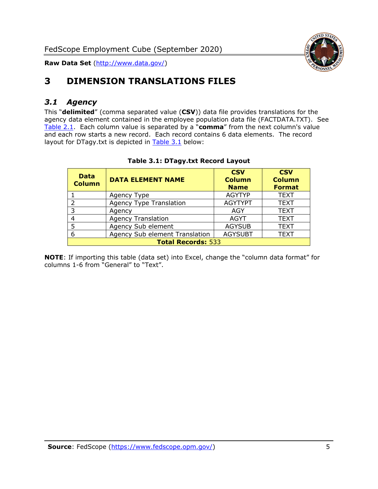

# <span id="page-5-0"></span>**3 DIMENSION TRANSLATIONS FILES**

#### <span id="page-5-1"></span>*3.1 Agency*

This "**delimited**" (comma separated value (**CSV**)) data file provides translations for the agency data element contained in the employee population data file (FACTDATA.TXT). See [Table 2.1.](#page-4-0) Each column value is separated by a "**comma**" from the next column's value and each row starts a new record. Each record contains 6 data elements. The record layout for DTagy.txt is depicted in **[Table 3.1](#page-5-2)** below:

<span id="page-5-2"></span>

| <b>Data</b><br><b>Column</b> | <b>DATA ELEMENT NAME</b>       | <b>CSV</b><br><b>Column</b><br><b>Name</b> | <b>CSV</b><br><b>Column</b><br><b>Format</b> |
|------------------------------|--------------------------------|--------------------------------------------|----------------------------------------------|
|                              | Agency Type                    | <b>AGYTYP</b>                              | <b>TEXT</b>                                  |
|                              | <b>Agency Type Translation</b> | <b>AGYTYPT</b>                             | <b>TEXT</b>                                  |
| 3                            | Agency                         | AGY                                        | <b>TEXT</b>                                  |
|                              | <b>Agency Translation</b>      | <b>AGYT</b>                                | <b>TEXT</b>                                  |
| 5                            | Agency Sub element             | <b>AGYSUB</b>                              | <b>TEXT</b>                                  |
| 6                            | Agency Sub element Translation | <b>AGYSUBT</b>                             | <b>TEXT</b>                                  |
| <b>Total Records: 533</b>    |                                |                                            |                                              |

#### **Table 3.1: DTagy.txt Record Layout**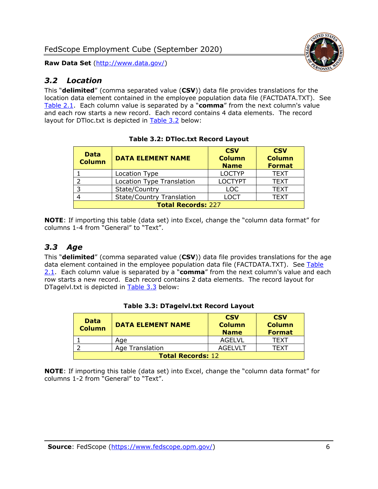

#### <span id="page-6-0"></span>*3.2 Location*

This "**delimited**" (comma separated value (**CSV**)) data file provides translations for the location data element contained in the employee population data file (FACTDATA.TXT). See [Table 2.1.](#page-4-0) Each column value is separated by a "**comma**" from the next column's value and each row starts a new record. Each record contains 4 data elements. The record layout for DTloc.txt is depicted in [Table 3.2](#page-6-2) below:

<span id="page-6-2"></span>

| <b>Data</b><br><b>Column</b> | <b>DATA ELEMENT NAME</b>         | <b>CSV</b><br><b>Column</b><br><b>Name</b> | <b>CSV</b><br><b>Column</b><br><b>Format</b> |  |
|------------------------------|----------------------------------|--------------------------------------------|----------------------------------------------|--|
|                              | Location Type                    | <b>LOCTYP</b>                              | <b>TEXT</b>                                  |  |
|                              | <b>Location Type Translation</b> | <b>LOCTYPT</b>                             | <b>TEXT</b>                                  |  |
|                              | State/Country                    | <b>LOC</b>                                 | <b>TEXT</b>                                  |  |
|                              | <b>State/Country Translation</b> | LOCT                                       | <b>TEXT</b>                                  |  |
| <b>Total Records: 227</b>    |                                  |                                            |                                              |  |

**NOTE**: If importing this table (data set) into Excel, change the "column data format" for columns 1-4 from "General" to "Text".

#### <span id="page-6-1"></span>*3.3 Age*

This "**delimited**" (comma separated value (**CSV**)) data file provides translations for the age data element contained in the employee population data file (FACTDATA.TXT). See Table [2.1.](#page-4-0) Each column value is separated by a "**comma**" from the next column's value and each row starts a new record. Each record contains 2 data elements. The record layout for DTagelvl.txt is depicted in [Table 3.3](#page-6-3) below:

<span id="page-6-3"></span>

| <b>Data</b><br><b>Column</b> | <b>DATA ELEMENT NAME</b> | <b>CSV</b><br><b>Column</b><br><b>Name</b> | <b>CSV</b><br><b>Column</b><br><b>Format</b> |
|------------------------------|--------------------------|--------------------------------------------|----------------------------------------------|
|                              | Age                      | AGELVL                                     | TFXT                                         |
|                              | Age Translation          | AGEL VLT                                   | TFXT                                         |
| <b>Total Records: 12</b>     |                          |                                            |                                              |

#### **Table 3.3: DTagelvl.txt Record Layout**

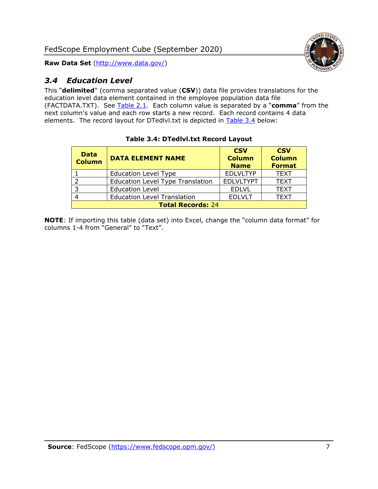

## <span id="page-7-0"></span>*3.4 Education Level*

This "**delimited**" (comma separated value (**CSV**)) data file provides translations for the education level data element contained in the employee population data file (FACTDATA.TXT). See [Table 2.1.](#page-4-0) Each column value is separated by a "**comma**" from the next column's value and each row starts a new record. Each record contains 4 data elements. The record layout for DTedlvl.txt is depicted in [Table 3.4](#page-7-1) below:

<span id="page-7-1"></span>

| <b>Data</b><br><b>Column</b> | <b>DATA ELEMENT NAME</b>                | <b>CSV</b><br><b>Column</b><br><b>Name</b> | <b>CSV</b><br><b>Column</b><br><b>Format</b> |  |
|------------------------------|-----------------------------------------|--------------------------------------------|----------------------------------------------|--|
|                              | <b>Education Level Type</b>             | <b>EDLVLTYP</b>                            | <b>TEXT</b>                                  |  |
| ົາ                           | <b>Education Level Type Translation</b> | <b>EDLVLTYPT</b>                           | <b>TEXT</b>                                  |  |
| 3                            | <b>Education Level</b>                  | <b>EDLVL</b>                               | <b>TEXT</b>                                  |  |
|                              | <b>Education Level Translation</b>      | <b>EDLVLT</b>                              | <b>TEXT</b>                                  |  |
| <b>Total Records: 24</b>     |                                         |                                            |                                              |  |

#### **Table 3.4: DTedlvl.txt Record Layout**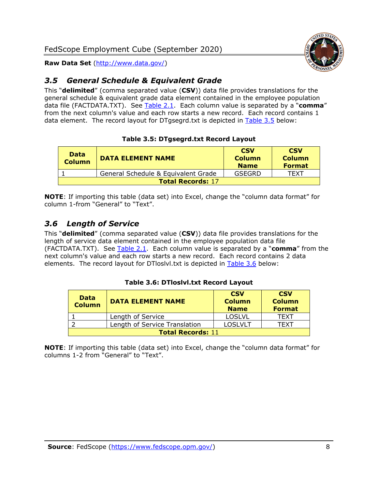

## <span id="page-8-0"></span>*3.5 General Schedule & Equivalent Grade*

This "**delimited**" (comma separated value (**CSV**)) data file provides translations for the general schedule & equivalent grade data element contained in the employee population data file (FACTDATA.TXT). See [Table 2.1.](#page-4-0) Each column value is separated by a "**comma**" from the next column's value and each row starts a new record. Each record contains 1 data element. The record layout for DTgsegrd.txt is depicted in [Table 3.5](#page-8-2) below:

#### **Table 3.5: DTgsegrd.txt Record Layout**

<span id="page-8-2"></span>

| <b>Data</b><br><b>Column</b> | <b>DATA ELEMENT NAME</b>            | <b>CSV</b><br><b>Column</b><br><b>Name</b> | <b>CSV</b><br><b>Column</b><br><b>Format</b> |
|------------------------------|-------------------------------------|--------------------------------------------|----------------------------------------------|
|                              | General Schedule & Equivalent Grade | GSEGRD                                     | TFXT                                         |
| <b>Total Records: 17</b>     |                                     |                                            |                                              |

**NOTE**: If importing this table (data set) into Excel, change the "column data format" for column 1-from "General" to "Text".

#### <span id="page-8-1"></span>*3.6 Length of Service*

This "**delimited**" (comma separated value (**CSV**)) data file provides translations for the length of service data element contained in the employee population data file (FACTDATA.TXT). See [Table 2.1.](#page-4-0) Each column value is separated by a "**comma**" from the next column's value and each row starts a new record. Each record contains 2 data elements. The record layout for DTloslvl.txt is depicted in [Table 3.6](#page-8-3) below:

#### **Table 3.6: DTloslvl.txt Record Layout**

<span id="page-8-3"></span>

| <b>Data</b><br><b>Column</b> | <b>DATA ELEMENT NAME</b>      | <b>CSV</b><br><b>Column</b><br><b>Name</b> | <b>CSV</b><br><b>Column</b><br><b>Format</b> |  |
|------------------------------|-------------------------------|--------------------------------------------|----------------------------------------------|--|
|                              | Length of Service             | <b>LOSLVL</b>                              | TEXT                                         |  |
|                              | Length of Service Translation | <b>LOSLVLT</b>                             | TEXT                                         |  |
| <b>Total Records: 11</b>     |                               |                                            |                                              |  |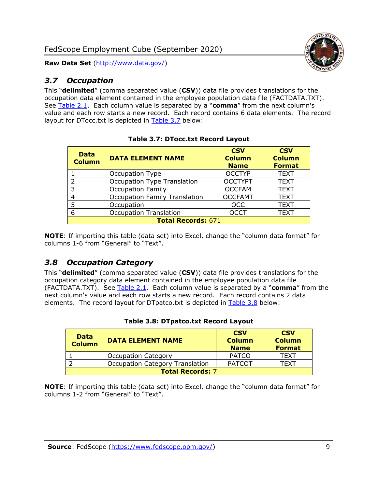

#### <span id="page-9-0"></span>*3.7 Occupation*

This "**delimited**" (comma separated value (**CSV**)) data file provides translations for the occupation data element contained in the employee population data file (FACTDATA.TXT). See [Table 2.1.](#page-4-0) Each column value is separated by a "**comma**" from the next column's value and each row starts a new record. Each record contains 6 data elements. The record layout for DTocc.txt is depicted in [Table 3.7](#page-9-2) below:

<span id="page-9-2"></span>

| <b>Data</b><br><b>Column</b> | <b>DATA ELEMENT NAME</b>             | <b>CSV</b><br><b>Column</b><br><b>Name</b> | <b>CSV</b><br><b>Column</b><br><b>Format</b> |  |
|------------------------------|--------------------------------------|--------------------------------------------|----------------------------------------------|--|
|                              | Occupation Type                      | <b>OCCTYP</b>                              | <b>TEXT</b>                                  |  |
| $\overline{2}$               | <b>Occupation Type Translation</b>   | <b>OCCTYPT</b>                             | <b>TEXT</b>                                  |  |
| 3                            | <b>Occupation Family</b>             | <b>OCCFAM</b>                              | <b>TEXT</b>                                  |  |
| 4                            | <b>Occupation Family Translation</b> | <b>OCCFAMT</b>                             | <b>TEXT</b>                                  |  |
| 5                            | Occupation                           | <b>OCC</b>                                 | <b>TEXT</b>                                  |  |
| 6                            | <b>Occupation Translation</b>        | <b>OCCT</b>                                | <b>TEXT</b>                                  |  |
| <b>Total Records: 671</b>    |                                      |                                            |                                              |  |

|  | <b>Table 3.7: DTocc.txt Record Layout</b> |  |  |
|--|-------------------------------------------|--|--|
|--|-------------------------------------------|--|--|

**NOTE**: If importing this table (data set) into Excel, change the "column data format" for columns 1-6 from "General" to "Text".

#### <span id="page-9-1"></span>*3.8 Occupation Category*

This "**delimited**" (comma separated value (**CSV**)) data file provides translations for the occupation category data element contained in the employee population data file (FACTDATA.TXT). See [Table 2.1.](#page-4-0) Each column value is separated by a "**comma**" from the next column's value and each row starts a new record. Each record contains 2 data elements. The record layout for DTpatco.txt is depicted in [Table 3.8](#page-9-3) below:

<span id="page-9-3"></span>

| <b>Data</b><br><b>Column</b> | <b>DATA ELEMENT NAME</b>        | <b>CSV</b><br><b>Column</b><br><b>Name</b> | <b>CSV</b><br><b>Column</b><br><b>Format</b> |
|------------------------------|---------------------------------|--------------------------------------------|----------------------------------------------|
|                              | <b>Occupation Category</b>      | <b>PATCO</b>                               | <b>TEXT</b>                                  |
|                              | Occupation Category Translation | <b>PATCOT</b>                              | <b>TFXT</b>                                  |
| <b>Total Records: 7</b>      |                                 |                                            |                                              |

| Table 3.8: DTpatco.txt Record Layout |  |  |  |  |  |  |
|--------------------------------------|--|--|--|--|--|--|
|--------------------------------------|--|--|--|--|--|--|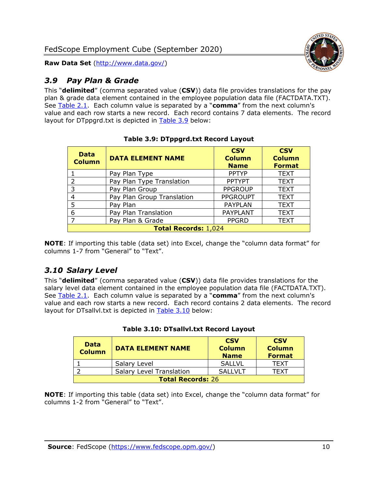

#### <span id="page-10-0"></span>*3.9 Pay Plan & Grade*

This "**delimited**" (comma separated value (**CSV**)) data file provides translations for the pay plan & grade data element contained in the employee population data file (FACTDATA.TXT). See [Table 2.1.](#page-4-0) Each column value is separated by a "**comma**" from the next column's value and each row starts a new record. Each record contains 7 data elements. The record layout for DTppgrd.txt is depicted in [Table 3.9](#page-10-2) below:

<span id="page-10-2"></span>

| <b>Data</b><br><b>Column</b> | <b>DATA ELEMENT NAME</b>    | <b>CSV</b><br><b>Column</b><br><b>Name</b> | <b>CSV</b><br><b>Column</b><br><b>Format</b> |
|------------------------------|-----------------------------|--------------------------------------------|----------------------------------------------|
|                              | Pay Plan Type               | <b>PPTYP</b>                               | <b>TEXT</b>                                  |
| $\overline{2}$               | Pay Plan Type Translation   | <b>PPTYPT</b>                              | <b>TEXT</b>                                  |
| 3                            | Pay Plan Group              | <b>PPGROUP</b>                             | <b>TEXT</b>                                  |
| 4                            | Pay Plan Group Translation  | <b>PPGROUPT</b>                            | <b>TEXT</b>                                  |
| 5                            | Pay Plan                    | <b>PAYPLAN</b>                             | <b>TEXT</b>                                  |
| 6                            | Pay Plan Translation        | <b>PAYPLANT</b>                            | <b>TEXT</b>                                  |
| $\overline{7}$               | Pay Plan & Grade            | <b>PPGRD</b>                               | <b>TEXT</b>                                  |
|                              | <b>Total Records: 1,024</b> |                                            |                                              |

#### **Table 3.9: DTppgrd.txt Record Layout**

**NOTE**: If importing this table (data set) into Excel, change the "column data format" for columns 1-7 from "General" to "Text".

## <span id="page-10-1"></span>*3.10 Salary Level*

This "**delimited**" (comma separated value (**CSV**)) data file provides translations for the salary level data element contained in the employee population data file (FACTDATA.TXT). See [Table 2.1.](#page-4-0) Each column value is separated by a "**comma**" from the next column's value and each row starts a new record. Each record contains 2 data elements. The record layout for DTsallvl.txt is depicted in [Table 3.10](#page-10-3) below:

<span id="page-10-3"></span>

| <b>Data</b><br><b>Column</b> | <b>DATA ELEMENT NAME</b>        | <b>CSV</b><br><b>Column</b><br><b>Name</b> | <b>CSV</b><br><b>Column</b><br><b>Format</b> |
|------------------------------|---------------------------------|--------------------------------------------|----------------------------------------------|
|                              | Salary Level                    | <b>SALLVL</b>                              | <b>TFXT</b>                                  |
|                              | <b>Salary Level Translation</b> | SALLVLT                                    | TFXT                                         |
| <b>Total Records: 26</b>     |                                 |                                            |                                              |

|  |  | Table 3.10: DTsallvl.txt Record Layout |  |
|--|--|----------------------------------------|--|
|--|--|----------------------------------------|--|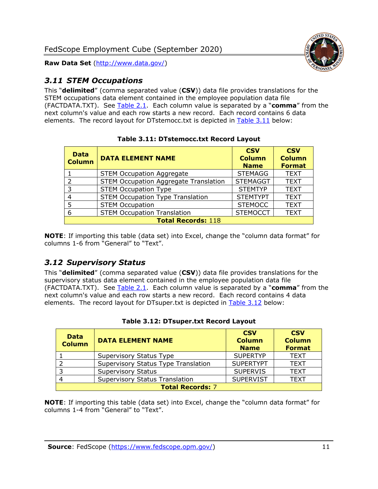

## <span id="page-11-0"></span>*3.11 STEM Occupations*

This "**delimited**" (comma separated value (**CSV**)) data file provides translations for the STEM occupations data element contained in the employee population data file (FACTDATA.TXT). See [Table 2.1.](#page-4-0) Each column value is separated by a "**comma**" from the next column's value and each row starts a new record. Each record contains 6 data elements. The record layout for DTstemocc.txt is depicted in [Table 3.11](#page-11-2) below:

<span id="page-11-2"></span>

| <b>Data</b><br><b>Column</b> | <b>DATA ELEMENT NAME</b>                     | <b>CSV</b><br><b>Column</b><br><b>Name</b> | <b>CSV</b><br><b>Column</b><br><b>Format</b> |
|------------------------------|----------------------------------------------|--------------------------------------------|----------------------------------------------|
|                              | <b>STEM Occupation Aggregate</b>             | <b>STEMAGG</b>                             | <b>TEXT</b>                                  |
| $\mathcal{P}$                | <b>STEM Occupation Aggregate Translation</b> | <b>STEMAGGT</b>                            | <b>TEXT</b>                                  |
| 3                            | <b>STEM Occupation Type</b>                  | <b>STEMTYP</b>                             | <b>TEXT</b>                                  |
| 4                            | <b>STEM Occupation Type Translation</b>      | <b>STEMTYPT</b>                            | <b>TEXT</b>                                  |
| 5                            | <b>STEM Occupation</b>                       | <b>STEMOCC</b>                             | <b>TEXT</b>                                  |
| 6                            | <b>STEM Occupation Translation</b>           | <b>STEMOCCT</b>                            | <b>TEXT</b>                                  |
|                              | <b>Total Records: 118</b>                    |                                            |                                              |

**Table 3.11: DTstemocc.txt Record Layout**

**NOTE**: If importing this table (data set) into Excel, change the "column data format" for columns 1-6 from "General" to "Text".

# <span id="page-11-1"></span>*3.12 Supervisory Status*

This "**delimited**" (comma separated value (**CSV**)) data file provides translations for the supervisory status data element contained in the employee population data file (FACTDATA.TXT). See [Table 2.1.](#page-4-0) Each column value is separated by a "**comma**" from the next column's value and each row starts a new record. Each record contains 4 data elements. The record layout for DTsuper.txt is depicted in [Table 3.12](#page-11-3) below:

<span id="page-11-3"></span>

| <b>Data</b><br><b>Column</b> | <b>DATA ELEMENT NAME</b>              | <b>CSV</b><br><b>Column</b><br><b>Name</b> | <b>CSV</b><br><b>Column</b><br><b>Format</b> |
|------------------------------|---------------------------------------|--------------------------------------------|----------------------------------------------|
|                              | Supervisory Status Type               | <b>SUPERTYP</b>                            | <b>TEXT</b>                                  |
|                              | Supervisory Status Type Translation   | <b>SUPERTYPT</b>                           | <b>TEXT</b>                                  |
|                              | <b>Supervisory Status</b>             | <b>SUPERVIS</b>                            | <b>TEXT</b>                                  |
|                              | <b>Supervisory Status Translation</b> | <b>SUPERVIST</b>                           | <b>TEXT</b>                                  |
|                              | <b>Total Records: 7</b>               |                                            |                                              |

|  |  | Table 3.12: DTsuper.txt Record Layout |  |  |
|--|--|---------------------------------------|--|--|
|--|--|---------------------------------------|--|--|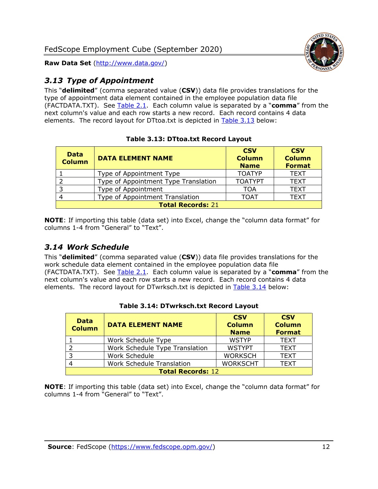

# <span id="page-12-0"></span>*3.13 Type of Appointment*

This "**delimited**" (comma separated value (**CSV**)) data file provides translations for the type of appointment data element contained in the employee population data file (FACTDATA.TXT). See [Table 2.1.](#page-4-0) Each column value is separated by a "**comma**" from the next column's value and each row starts a new record. Each record contains 4 data elements. The record layout for DTtoa.txt is depicted in [Table 3.13](#page-12-2) below:

<span id="page-12-2"></span>

| <b>Data</b><br><b>Column</b> | <b>DATA ELEMENT NAME</b>             | <b>CSV</b><br><b>Column</b><br><b>Name</b> | <b>CSV</b><br><b>Column</b><br><b>Format</b> |
|------------------------------|--------------------------------------|--------------------------------------------|----------------------------------------------|
|                              | Type of Appointment Type             | <b>TOATYP</b>                              | <b>TEXT</b>                                  |
|                              | Type of Appointment Type Translation | <b>TOATYPT</b>                             | <b>TEXT</b>                                  |
| 3                            | Type of Appointment                  | TOA                                        | <b>TEXT</b>                                  |
|                              | Type of Appointment Translation      | <b>TOAT</b>                                | <b>TEXT</b>                                  |
|                              | <b>Total Records: 21</b>             |                                            |                                              |

#### **Table 3.13: DTtoa.txt Record Layout**

**NOTE**: If importing this table (data set) into Excel, change the "column data format" for columns 1-4 from "General" to "Text".

## <span id="page-12-1"></span>*3.14 Work Schedule*

This "**delimited**" (comma separated value (**CSV**)) data file provides translations for the work schedule data element contained in the employee population data file (FACTDATA.TXT). See [Table 2.1.](#page-4-0) Each column value is separated by a "**comma**" from the next column's value and each row starts a new record. Each record contains 4 data elements. The record layout for DTwrksch.txt is depicted in [Table 3.14](#page-12-3) below:

<span id="page-12-3"></span>

| <b>Data</b><br><b>Column</b> | <b>DATA ELEMENT NAME</b>       | <b>CSV</b><br><b>Column</b><br><b>Name</b> | <b>CSV</b><br><b>Column</b><br><b>Format</b> |  |
|------------------------------|--------------------------------|--------------------------------------------|----------------------------------------------|--|
|                              | Work Schedule Type             | <b>WSTYP</b>                               | <b>TEXT</b>                                  |  |
|                              | Work Schedule Type Translation | <b>WSTYPT</b>                              | <b>TEXT</b>                                  |  |
| -3                           | Work Schedule                  | <b>WORKSCH</b>                             | <b>TEXT</b>                                  |  |
|                              | Work Schedule Translation      | <b>WORKSCHT</b>                            | <b>TEXT</b>                                  |  |
|                              | <b>Total Records: 12</b>       |                                            |                                              |  |

#### **Table 3.14: DTwrksch.txt Record Layout**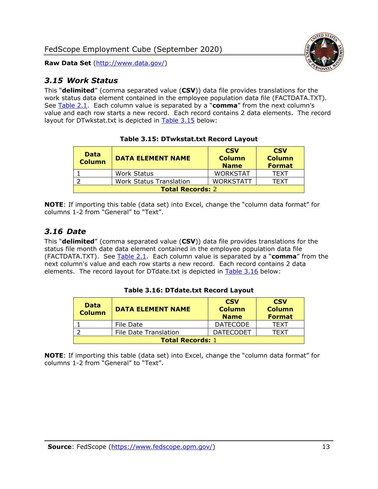

#### <span id="page-13-0"></span>*3.15 Work Status*

This "**delimited**" (comma separated value (**CSV**)) data file provides translations for the work status data element contained in the employee population data file (FACTDATA.TXT). See [Table 2.1.](#page-4-0) Each column value is separated by a "**comma**" from the next column's value and each row starts a new record. Each record contains 2 data elements. The record layout for DTwkstat.txt is depicted in [Table 3.15](#page-13-2) below:

<span id="page-13-2"></span>

| <b>Data</b><br><b>Column</b> | <b>DATA ELEMENT NAME</b>       | <b>CSV</b><br><b>Column</b><br><b>Name</b> | <b>CSV</b><br><b>Column</b><br><b>Format</b> |
|------------------------------|--------------------------------|--------------------------------------------|----------------------------------------------|
|                              | <b>Work Status</b>             | <b>WORKSTAT</b>                            | <b>TFXT</b>                                  |
|                              | <b>Work Status Translation</b> | <b>WORKSTATT</b>                           | TFXT                                         |
| <b>Total Records: 2</b>      |                                |                                            |                                              |

#### **Table 3.15: DTwkstat.txt Record Layout**

**NOTE**: If importing this table (data set) into Excel, change the "column data format" for columns 1-2 from "General" to "Text".

#### <span id="page-13-1"></span>*3.16 Date*

This "**delimited**" (comma separated value (**CSV**)) data file provides translations for the status file month date data element contained in the employee population data file (FACTDATA.TXT). See [Table 2.1.](#page-4-0) Each column value is separated by a "**comma**" from the next column's value and each row starts a new record. Each record contains 2 data elements. The record layout for DTdate.txt is depicted in [Table 3.16](#page-13-3) below:

<span id="page-13-3"></span>

| <b>Data</b><br><b>Column</b> | <b>DATA ELEMENT NAME</b>     | <b>CSV</b><br><b>Column</b><br><b>Name</b> | <b>CSV</b><br><b>Column</b><br><b>Format</b> |
|------------------------------|------------------------------|--------------------------------------------|----------------------------------------------|
|                              | File Date                    | <b>DATECODE</b>                            | <b>TFXT</b>                                  |
|                              | <b>File Date Translation</b> | <b>DATECODET</b>                           | TFXT                                         |
| <b>Total Records: 1</b>      |                              |                                            |                                              |

#### **Table 3.16: DTdate.txt Record Layout**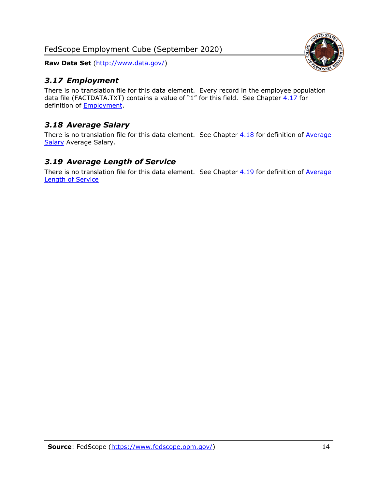FedScope Employment Cube (September 2020)

**Raw Data Set** (http://www.data.gov/)

## <span id="page-14-0"></span>*3.17 Employment*

There is no translation file for this data element. Every record in the employee population data file (FACTDATA.TXT) contains a value of "1" for this field. See Chapter  $4.17$  for definition of [Employment.](#page-17-0)

# <span id="page-14-1"></span>*3.18 Average Salary*

There is no translation file for this data element. See Chapter  $4.18$  for definition of Average [Salary](#page-17-1) [Average Salary.](#page-17-1)

#### <span id="page-14-2"></span>*3.19 Average Length of Service*

There is no translation file for this data element. See Chapter  $4.19$  for definition of Average [Length of Service](#page-17-2)

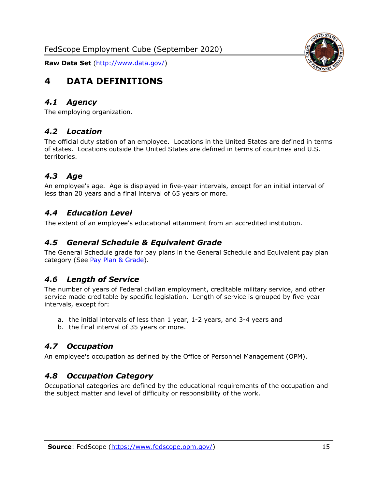<span id="page-15-0"></span>

#### <span id="page-15-1"></span>*4.1 Agency*

<span id="page-15-2"></span>The employing organization.

#### *4.2 Location*

The official duty station of an employee. Locations in the United States are defined in terms of states. Locations outside the United States are defined in terms of countries and U.S. territories.

#### <span id="page-15-3"></span>*4.3 Age*

An employee's age. Age is displayed in five-year intervals, except for an initial interval of less than 20 years and a final interval of 65 years or more.

#### <span id="page-15-4"></span>*4.4 Education Level*

<span id="page-15-5"></span>The extent of an employee's educational attainment from an accredited institution.

#### *4.5 General Schedule & Equivalent Grade*

The General Schedule grade for pay plans in the General Schedule and Equivalent pay plan category (See [Pay Plan & Grade\)](#page-16-0).

#### <span id="page-15-6"></span>*4.6 Length of Service*

The number of years of Federal civilian employment, creditable military service, and other service made creditable by specific legislation. Length of service is grouped by five-year intervals, except for:

- a. the initial intervals of less than 1 year, 1-2 years, and 3-4 years and
- b. the final interval of 35 years or more.

#### <span id="page-15-7"></span>*4.7 Occupation*

<span id="page-15-8"></span>An employee's occupation as defined by the Office of Personnel Management (OPM).

#### *4.8 Occupation Category*

Occupational categories are defined by the educational requirements of the occupation and the subject matter and level of difficulty or responsibility of the work.

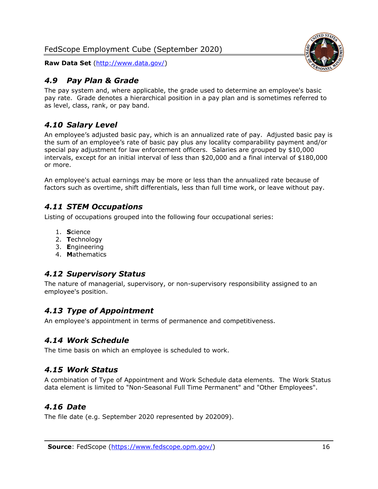## <span id="page-16-0"></span>*4.9 Pay Plan & Grade*

The pay system and, where applicable, the grade used to determine an employee's basic pay rate. Grade denotes a hierarchical position in a pay plan and is sometimes referred to as level, class, rank, or pay band.

# <span id="page-16-1"></span>*4.10 Salary Level*

An employee's adjusted basic pay, which is an annualized rate of pay. Adjusted basic pay is the sum of an employee's rate of basic pay plus any locality comparability payment and/or special pay adjustment for law enforcement officers. Salaries are grouped by \$10,000 intervals, except for an initial interval of less than \$20,000 and a final interval of \$180,000 or more.

An employee's actual earnings may be more or less than the annualized rate because of factors such as overtime, shift differentials, less than full time work, or leave without pay.

## <span id="page-16-2"></span>*4.11 STEM Occupations*

Listing of occupations grouped into the following four occupational series:

- 1. **S**cience
- 2. **T**echnology
- 3. **E**ngineering
- 4. **M**athematics

## <span id="page-16-3"></span>*4.12 Supervisory Status*

The nature of managerial, supervisory, or non-supervisory responsibility assigned to an employee's position.

## <span id="page-16-4"></span>*4.13 Type of Appointment*

<span id="page-16-5"></span>An employee's appointment in terms of permanence and competitiveness.

#### *4.14 Work Schedule*

<span id="page-16-6"></span>The time basis on which an employee is scheduled to work.

## *4.15 Work Status*

A combination of Type of Appointment and Work Schedule data elements. The Work Status data element is limited to "Non-Seasonal Full Time Permanent" and "Other Employees".

## <span id="page-16-7"></span>*4.16 Date*

<span id="page-16-8"></span>The file date (e.g. September 2020 represented by 202009).

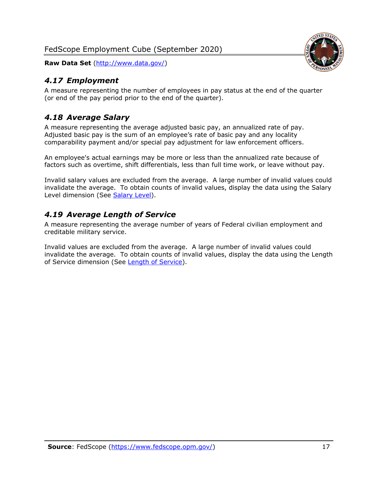## <span id="page-17-0"></span>*4.17 Employment*

A measure representing the number of employees in pay status at the end of the quarter (or end of the pay period prior to the end of the quarter).

#### <span id="page-17-1"></span>*4.18 Average Salary*

A measure representing the average adjusted basic pay, an annualized rate of pay. Adjusted basic pay is the sum of an employee's rate of basic pay and any locality comparability payment and/or special pay adjustment for law enforcement officers.

An employee's actual earnings may be more or less than the annualized rate because of factors such as overtime, shift differentials, less than full time work, or leave without pay.

Invalid salary values are excluded from the average. A large number of invalid values could invalidate the average. To obtain counts of invalid values, display the data using the Salary Level dimension (See [Salary Level\)](#page-16-1).

#### <span id="page-17-2"></span>*4.19 Average Length of Service*

A measure representing the average number of years of Federal civilian employment and creditable military service.

Invalid values are excluded from the average. A large number of invalid values could invalidate the average. To obtain counts of invalid values, display the data using the Length of Service dimension (See [Length of Service\)](#page-15-6).